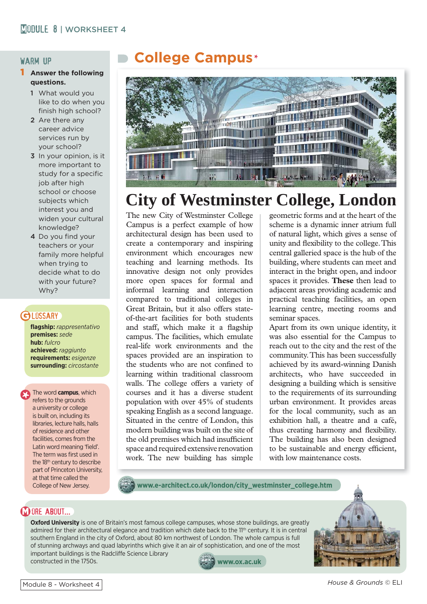#### **Answer the following questions.**

- 1 What would you like to do when you finish high school?
- 2 Are there any career advice services run by your school?
- 3 In your opinion, is it more important to study for a specific job after high school or choose subjects which interest you and widen your cultural knowledge?
- 4 Do you find your teachers or your family more helpful when trying to decide what to do with your future? Why?

# **GLOSSARY**

**fl agship:** *rappresentativo* **premises:** *sede* **hub:** *fulcro* **achieved:** *raggiunto* **requirements:** *esigenze* **surrounding:** *circostante*

The word **campus**, which refers to the grounds a university or college is built on, including its libraries, lecture halls, halls of residence and other facilities, comes from the Latin word meaning 'field'. The term was first used in the 18<sup>th</sup> century to describe part of Princeton University, at that time called the College of New Jersey.

# WARM UP**New Accollege Campus** \*



# **City of Westminster College, London**

The new City of Westminster College Campus is a perfect example of how architectural design has been used to create a contemporary and inspiring environment which encourages new teaching and learning methods. Its innovative design not only provides more open spaces for formal and informal learning and interaction compared to traditional colleges in Great Britain, but it also offers stateof-the-art facilities for both students and staff, which make it a flagship campus. The facilities, which emulate real-life work environments and the spaces provided are an inspiration to the students who are not confined to learning within traditional classroom walls. The college offers a variety of courses and it has a diverse student population with over 45% of students speaking English as a second language. Situated in the centre of London, this modern building was built on the site of the old premises which had insufficient space and required extensive renovation work. The new building has simple

geometric forms and at the heart of the scheme is a dynamic inner atrium full of natural light, which gives a sense of unity and flexibility to the college. This central galleried space is the hub of the building, where students can meet and interact in the bright open, and indoor spaces it provides. **These** then lead to adjacent areas providing academic and practical teaching facilities, an open learning centre, meeting rooms and seminar spaces.

Apart from its own unique identity, it was also essential for the Campus to reach out to the city and the rest of the community. This has been successfully achieved by its award-winning Danish architects, who have succeeded in designing a building which is sensitive to the requirements of its surrounding urban environment. It provides areas for the local community, such as an exhibition hall, a theatre and a café, thus creating harmony and flexibility. The building has also been designed to be sustainable and energy efficient, with low maintenance costs.

**www.e-architect.co.uk/london/city\_westminster\_college.htm**

# **MORE ABOUT...**

**Oxford University** is one of Britain's most famous college campuses, whose stone buildings, are greatly admired for their architectural elegance and tradition which date back to the 11<sup>th</sup> century. It is in central southern England in the city of Oxford, about 80 km northwest of London. The whole campus is full of stunning archways and quad labyrinths which give it an air of sophistication, and one of the most important buildings is the Radcliffe Science Library constructed in the 1750s.